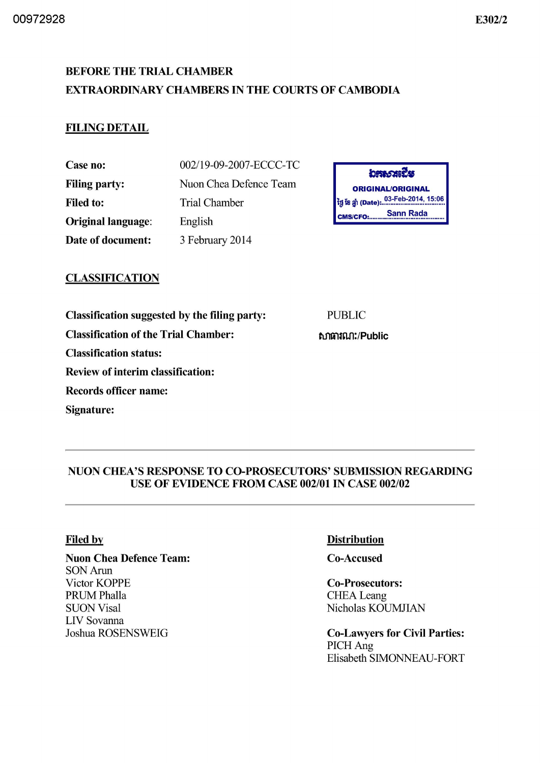# BEFORE THE TRIAL CHAMBER EXTRAORDINARY CHAMBERS IN THE COURTS OF CAMBODIA

## FILING DETAIL

Case no: Filing party: Filed to: Original language : Date of document:

002/19-09-2007 -ECCC-TC Nuon Chea Defence Team Trial Chamber English 3 February 2014



## **CLASSIFICATION**

Classification suggested by the filing party:

Classification of the Trial Chamber:

Classification status:

Review of interim classification:

Records officer name:

Signature:

PUBLIC

ftfItilUU1:/Public

### NUON CHEA'S RESPONSE TO CO-PROSECUTORS' SUBMISSION REGARDING USE OF EVIDENCE FROM CASE *002/01* IN CASE *002/02*

#### Filed by

## Nuon Chea Defence Team: SON Arun Victor KOPPE PRUMPhalla **SUON Visal**

LIV Sovanna Joshua ROSENSWEIG

### **Distribution**

Co-Accused

## Co-Prosecutors: **CHEA** Leang

Nicholas KOUMJIAN

#### Co-Lawyers for Civil Parties: PICHAng Elisabeth SIMONNEAU-FORT

*E302/2*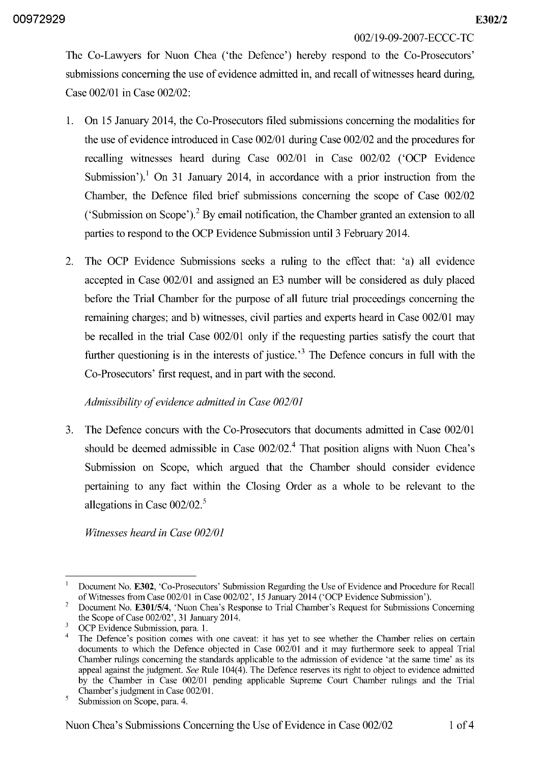002/19-09-2007 -ECCC-TC

The Co-Lawyers for Nuon Chea ('the Defence') hereby respond to the Co-Prosecutors' submissions concerning the use of evidence admitted in, and recall of witnesses heard during, Case 002/01 in Case 002/02:

- 1. On 15 January 2014, the Co-Prosecutors filed submissions concerning the modalities for the use of evidence introduced in Case 002/01 during Case 002/02 and the procedures for recalling witnesses heard during Case 002/01 in Case 002/02 ('OCP Evidence Submission').<sup>1</sup> On 31 January 2014, in accordance with a prior instruction from the Chamber, the Defence filed brief submissions concerning the scope of Case 002/02 ('Submission on Scope').<sup>2</sup> By email notification, the Chamber granted an extension to all parties to respond to the OCP Evidence Submission until 3 February 2014.
- 2. The OCP Evidence Submissions seeks a ruling to the effect that: 'a) all evidence accepted in Case 002/01 and assigned an E3 number will be considered as duly placed before the Trial Chamber for the purpose of all future trial proceedings concerning the remaining charges; and b) witnesses, civil parties and experts heard in Case 002/01 may be recalled in the trial Case 002/01 only if the requesting parties satisfy the court that further questioning is in the interests of justice.<sup> $3$ </sup> The Defence concurs in full with the Co-Prosecutors' first request, and in part with the second.

## *Admissibility of evidence admitted in Case 002101*

3. The Defence concurs with the Co-Prosecutors that documents admitted in Case 002/01 should be deemed admissible in Case  $002/02$ .<sup>4</sup> That position aligns with Nuon Chea's Submission on Scope, which argued that the Chamber should consider evidence pertaining to any fact within the Closing Order as a whole to be relevant to the allegations in Case 002/02. *<sup>5</sup>*

*Witnesses heard in Case 002/01* 

<sup>&</sup>lt;sup>1</sup> Document No. E302, 'Co-Prosecutors' Submission Regarding the Use of Evidence and Procedure for Recall of Witnesses from Case *002/01* in Case *002/02',* 15 January 2014 ('OCP Evidence Submission').

<sup>2</sup> Document No. *E30l/5/4,* 'Nuon Chea's Response to Trial Chamber's Request for Submissions Concerning the Scope of Case *002/02',* 31 January 2014.

<sup>&</sup>lt;sup>3</sup> OCP Evidence Submission, para. 1.

The Defence's position comes with one caveat: it has yet to see whether the Chamber relies on certain documents to which the Defence objected in Case *002/01* and it may furthermore seek to appeal Trial Chamber rulings concerning the standards applicable to the admission of evidence 'at the same time' as its appeal against the judgment. *See* Rule 104(4). The Defence reserves its right to object to evidence admitted by the Chamber in Case *002/01* pending applicable Supreme Court Chamber rulings and the Trial Chamber's judgment in Case *002/01.* 

<sup>&</sup>lt;sup>5</sup> Submission on Scope, para. 4.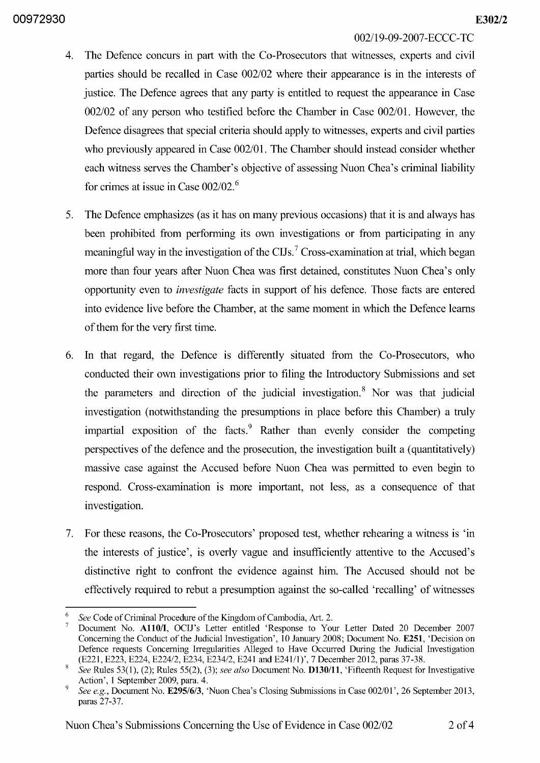00972930 *E302/2* 

### 002/19-09-2007 -ECCC-TC

- 4. The Defence concurs in part with the Co-Prosecutors that witnesses, experts and civil parties should be recalled in Case 002/02 where their appearance is in the interests of justice. The Defence agrees that any party is entitled to request the appearance in Case 002/02 of any person who testified before the Chamber in Case 002/01. However, the Defence disagrees that special criteria should apply to witnesses, experts and civil parties who previously appeared in Case 002/01. The Chamber should instead consider whether each witness serves the Chamber's objective of assessing Nuon Chea's criminal liability for crimes at issue in Case 002/02. *<sup>6</sup>*
- 5. The Defence emphasizes (as it has on many previous occasions) that it is and always has been prohibited from performing its own investigations or from participating in any meaningful way in the investigation of the CIJs.<sup>7</sup> Cross-examination at trial, which began more than four years after Nuon Chea was first detained, constitutes Nuon Chea's only opportunity even to *investigate* facts in support of his defence. Those facts are entered into evidence live before the Chamber, at the same moment in which the Defence learns of them for the very first time.
- 6. In that regard, the Defence is differently situated from the Co-Prosecutors, who conducted their own investigations prior to filing the Introductory Submissions and set the parameters and direction of the judicial investigation.<sup>8</sup> Nor was that judicial investigation (notwithstanding the presumptions in place before this Chamber) a truly impartial exposition of the facts. $9$  Rather than evenly consider the competing perspectives of the defence and the prosecution, the investigation built a (quantitatively) massive case against the Accused before Nuon Chea was permitted to even begin to respond. Cross-examination is more important, not less, as a consequence of that investigation.
- 7. For these reasons, the Co-Prosecutors' proposed test, whether rehearing a witness is 'in the interests of justice', is overly vague and insufficiently attentive to the Accused's distinctive right to confront the evidence against him. The Accused should not be effectively required to rebut a presumption against the so-called 'recalling' of witnesses

*<sup>6</sup> See* Code of Criminal Procedure of the Kingdom of Cambodia, Art. 2.

Document No. A110/I, OCIJ's Letter entitled 'Response to Your Letter Dated 20 December 2007 Concerning the Conduct of the Judicial Investigation', 10 January 2008; Document No. E251, 'Decision on Defence requests Concerning Irregularities Alleged to Have Occurred During the Judicial Investigation (E221, E223, E224, E224/2, E234, E234/2, E241 and E241/1)', 7 December 2012, paras 37-38.

<sup>8</sup>*See* Rules 53(1), (2); Rules 55(2), (3); *see also* Document No. D130/ll, 'Fifteenth Request for Investigative Action',1 September 2009, para. 4.

*See e.g., Document No. E295/6/3, 'Nuon Chea's Closing Submissions in Case 002/01', 26 September 2013,* paras 27-37.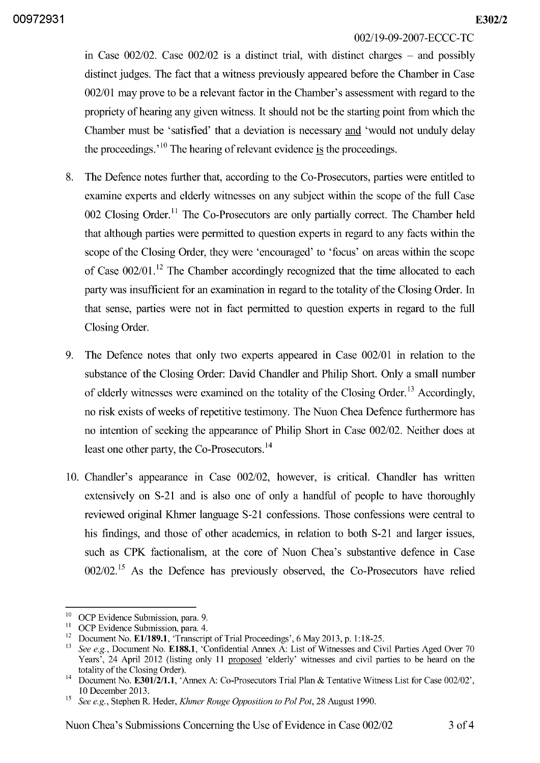#### 002/19-09-2007 -ECCC-TC

in Case  $002/02$ . Case  $002/02$  is a distinct trial, with distinct charges – and possibly distinct judges. The fact that a witness previously appeared before the Chamber in Case 002/01 may prove to be a relevant factor in the Chamber's assessment with regard to the propriety of hearing any given witness. It should not be the starting point from which the Chamber must be 'satisfied' that a deviation is necessary and 'would not unduly delay the proceedings. $^{10}$  The hearing of relevant evidence is the proceedings.

- 8. The Defence notes further that, according to the Co-Prosecutors, parties were entitled to examine experts and elderly witnesses on any subject within the scope of the full Case 002 Closing Order.<sup>11</sup> The Co-Prosecutors are only partially correct. The Chamber held that although parties were permitted to question experts in regard to any facts within the scope of the Closing Order, they were 'encouraged' to 'focus' on areas within the scope of Case  $002/01$ .<sup>12</sup> The Chamber accordingly recognized that the time allocated to each party was insufficient for an examination in regard to the totality of the Closing Order. In that sense, parties were not in fact permitted to question experts in regard to the full Closing Order.
- 9. The Defence notes that only two experts appeared in Case 002/01 in relation to the substance of the Closing Order: David Chandler and Philip Short. Only a small number of elderly witnesses were examined on the totality of the Closing Order.<sup>13</sup> Accordingly, no risk exists of weeks of repetitive testimony. The Nuon Chea Defence furthermore has no intention of seeking the appearance of Philip Short in Case 002/02. Neither does at least one other party, the Co-Prosecutors.<sup>14</sup>
- 10. Chandler's appearance in Case 002/02, however, IS critical. Chandler has written extensively on S-21 and is also one of only a handful of people to have thoroughly reviewed original Khmer language S-21 confessions. Those confessions were central to his findings, and those of other academics, in relation to both S-21 and larger issues, such as CPK factionalism, at the core of Nuon Chea's substantive defence in Case  $002/02$ .<sup>15</sup> As the Defence has previously observed, the Co-Prosecutors have relied

<sup>&</sup>lt;sup>10</sup> OCP Evidence Submission, para. 9.<br><sup>11</sup> OCP Evidence Submission, para. 4.

<sup>&</sup>lt;sup>11</sup> OCP Evidence Submission, para. 4.<br><sup>12</sup> Document No. **E1/180.1** 'Transarin

<sup>&</sup>lt;sup>12</sup> Document No. **E1/189.1**, 'Transcript of Trial Proceedings', 6 May 2013, p. 1:18-25.<br><sup>13</sup> See a.g., Document No. **E198.1**, 'Confidential Annay A: List of Witnesses and Civ

See e.g., Document No. E188.1, 'Confidential Annex A: List of Witnesses and Civil Parties Aged Over 70 Years', 24 April 2012 (listing only 11 proposed 'elderly' witnesses and civil parties to be heard on the totality of the Closing Order).

<sup>&</sup>lt;sup>14</sup> Document No. **E301/2/1.1**, 'Annex A: Co-Prosecutors Trial Plan & Tentative Witness List for Case 002/02', 10 December 2013.

<sup>&</sup>lt;sup>15</sup> See e.g., Stephen R. Heder, *Khmer Rouge Opposition to Pol Pot*, 28 August 1990.